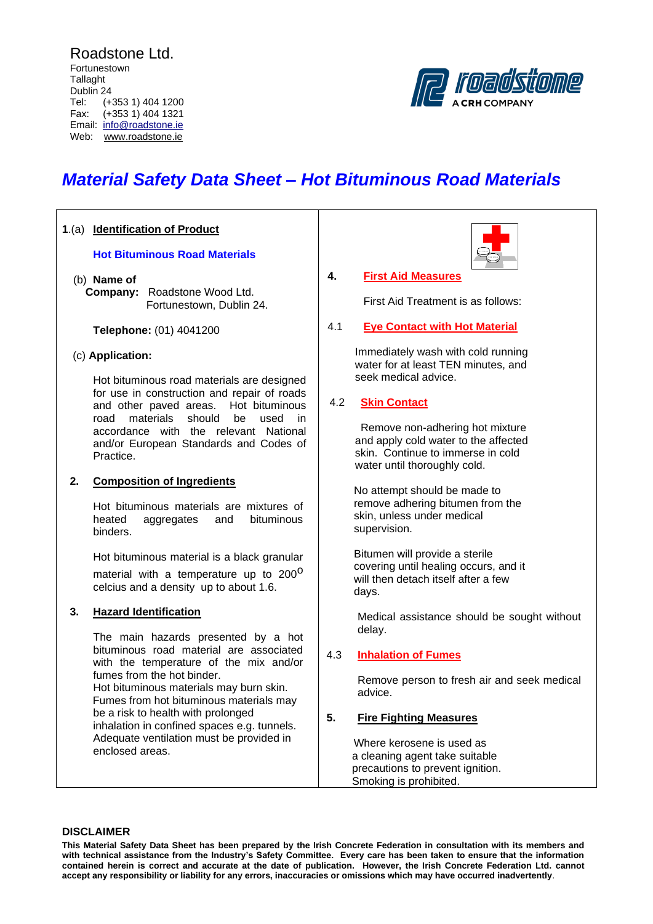Roadstone Ltd. Fortunestown **Tallaght** Dublin 24<br>Tel: (+ (+353 1) 404 1200 Fax: (+353 1) 404 1321 Email: [info@roadstone.ie](mailto:info@roadstone.ie) Web: www.roadstone.ie



# *Material Safety Data Sheet – Hot Bituminous Road Materials*

# **1**.(a) **Identification of Product Hot Bituminous Road Materials** (b) **Name of Company:** Roadstone Wood Ltd. Fortunestown, Dublin 24. **Telephone:** (01) 4041200 (c) **Application:** Hot bituminous road materials are designed for use in construction and repair of roads and other paved areas. Hot bituminous road materials should be used in accordance with the relevant National and/or European Standards and Codes of Practice. **2. Composition of Ingredients** Hot bituminous materials are mixtures of heated aggregates and bituminous binders. Hot bituminous material is a black granular material with a temperature up to 200<sup>0</sup> celcius and a density up to about 1.6. **3. Hazard Identification** The main hazards presented by a hot bituminous road material are associated with the temperature of the mix and/or fumes from the hot binder. Hot bituminous materials may burn skin. Fumes from hot bituminous materials may

be a risk to health with prolonged inhalation in confined spaces e.g. tunnels. Adequate ventilation must be provided in enclosed areas.



# **4. First Aid Measures**

First Aid Treatment is as follows:

# 4.1 **Eye Contact with Hot Material**

 Immediately wash with cold running water for at least TEN minutes, and seek medical advice.

# 4.2 **Skin Contact**

Remove non-adhering hot mixture and apply cold water to the affected skin. Continue to immerse in cold water until thoroughly cold.

 No attempt should be made to remove adhering bitumen from the skin, unless under medical supervision.

 Bitumen will provide a sterile covering until healing occurs, and it will then detach itself after a few days.

Medical assistance should be sought without delay.

# 4.3 **Inhalation of Fumes**

Remove person to fresh air and seek medical advice.

# **5. Fire Fighting Measures**

 Where kerosene is used as a cleaning agent take suitable precautions to prevent ignition. Smoking is prohibited.

# **DISCLAIMER**

**This Material Safety Data Sheet has been prepared by the Irish Concrete Federation in consultation with its members and with technical assistance from the Industry's Safety Committee. Every care has been taken to ensure that the information contained herein is correct and accurate at the date of publication. However, the Irish Concrete Federation Ltd. cannot accept any responsibility or liability for any errors, inaccuracies or omissions which may have occurred inadvertently**.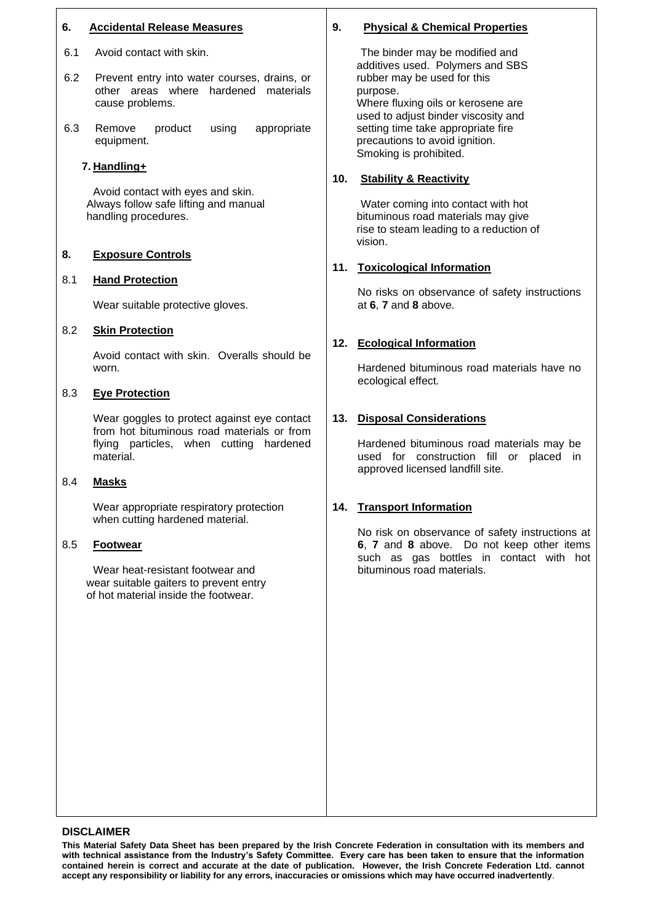# **6. Accidental Release Measures**

- 6.1 Avoid contact with skin.
- 6.2 Prevent entry into water courses, drains, or other areas where hardened materials cause problems.
- 6.3 Remove product using appropriate equipment.

#### **7. Handling+**

Avoid contact with eyes and skin. Always follow safe lifting and manual handling procedures.

# **8. Exposure Controls**

#### 8.1 **Hand Protection**

Wear suitable protective gloves.

#### 8.2 **Skin Protection**

Avoid contact with skin. Overalls should be worn.

#### 8.3 **Eye Protection**

Wear goggles to protect against eye contact from hot bituminous road materials or from flying particles, when cutting hardened material.

#### 8.4 **Masks**

Wear appropriate respiratory protection when cutting hardened material.

#### 8.5 **Footwear**

Wear heat-resistant footwear and wear suitable gaiters to prevent entry of hot material inside the footwear.

# **9. Physical & Chemical Properties**

The binder may be modified and additives used. Polymers and SBS rubber may be used for this purpose. Where fluxing oils or kerosene are used to adjust binder viscosity and setting time take appropriate fire precautions to avoid ignition. Smoking is prohibited.

#### **10. Stability & Reactivity**

Water coming into contact with hot bituminous road materials may give rise to steam leading to a reduction of vision.

#### **11. Toxicological Information**

No risks on observance of safety instructions at **6**, **7** and **8** above.

# **12. Ecological Information**

Hardened bituminous road materials have no ecological effect.

# **13. Disposal Considerations**

Hardened bituminous road materials may be used for construction fill or placed in approved licensed landfill site.

#### **14. Transport Information**

No risk on observance of safety instructions at **6**, **7** and **8** above. Do not keep other items such as gas bottles in contact with hot bituminous road materials.

#### **DISCLAIMER**

**This Material Safety Data Sheet has been prepared by the Irish Concrete Federation in consultation with its members and with technical assistance from the Industry's Safety Committee. Every care has been taken to ensure that the information contained herein is correct and accurate at the date of publication. However, the Irish Concrete Federation Ltd. cannot accept any responsibility or liability for any errors, inaccuracies or omissions which may have occurred inadvertently**.